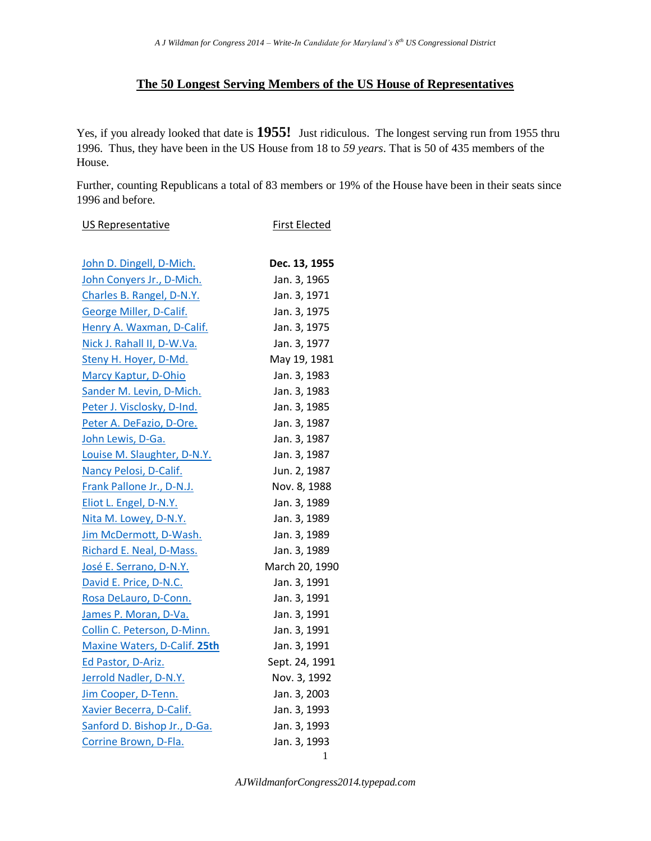## **The 50 Longest Serving Members of the US House of Representatives**

Yes, if you already looked that date is **1955!** Just ridiculous. The longest serving run from 1955 thru 1996. Thus, they have been in the US House from 18 to *59 years*. That is 50 of 435 members of the House.

Further, counting Republicans a total of 83 members or 19% of the House have been in their seats since 1996 and before.

| US Representative              | <b>First Elected</b> |
|--------------------------------|----------------------|
|                                |                      |
| John D. Dingell, D-Mich.       | Dec. 13, 1955        |
| John Conyers Jr., D-Mich.      | Jan. 3, 1965         |
| Charles B. Rangel, D-N.Y.      | Jan. 3, 1971         |
| George Miller, D-Calif.        | Jan. 3, 1975         |
| Henry A. Waxman, D-Calif.      | Jan. 3, 1975         |
| Nick J. Rahall II, D-W.Va.     | Jan. 3, 1977         |
| Steny H. Hoyer, D-Md.          | May 19, 1981         |
| <b>Marcy Kaptur, D-Ohio</b>    | Jan. 3, 1983         |
| Sander M. Levin, D-Mich.       | Jan. 3, 1983         |
| Peter J. Visclosky, D-Ind.     | Jan. 3, 1985         |
| Peter A. DeFazio, D-Ore.       | Jan. 3, 1987         |
| John Lewis, D-Ga.              | Jan. 3, 1987         |
| Louise M. Slaughter, D-N.Y.    | Jan. 3, 1987         |
| Nancy Pelosi, D-Calif.         | Jun. 2, 1987         |
| Frank Pallone Jr., D-N.J.      | Nov. 8, 1988         |
| Eliot L. Engel, D-N.Y.         | Jan. 3, 1989         |
| Nita M. Lowey, D-N.Y.          | Jan. 3, 1989         |
| Jim McDermott, D-Wash.         | Jan. 3, 1989         |
| Richard E. Neal, D-Mass.       | Jan. 3, 1989         |
| <u>José E. Serrano, D-N.Y.</u> | March 20, 1990       |
| David E. Price, D-N.C.         | Jan. 3, 1991         |
| Rosa DeLauro, D-Conn.          | Jan. 3, 1991         |
| James P. Moran, D-Va.          | Jan. 3, 1991         |
| Collin C. Peterson, D-Minn.    | Jan. 3, 1991         |
| Maxine Waters, D-Calif. 25th   | Jan. 3, 1991         |
| Ed Pastor, D-Ariz.             | Sept. 24, 1991       |
| Jerrold Nadler, D-N.Y.         | Nov. 3, 1992         |
| Jim Cooper, D-Tenn.            | Jan. 3, 2003         |
| Xavier Becerra, D-Calif.       | Jan. 3, 1993         |
| Sanford D. Bishop Jr., D-Ga.   | Jan. 3, 1993         |
| Corrine Brown, D-Fla.          | Jan. 3, 1993         |
|                                | 1                    |